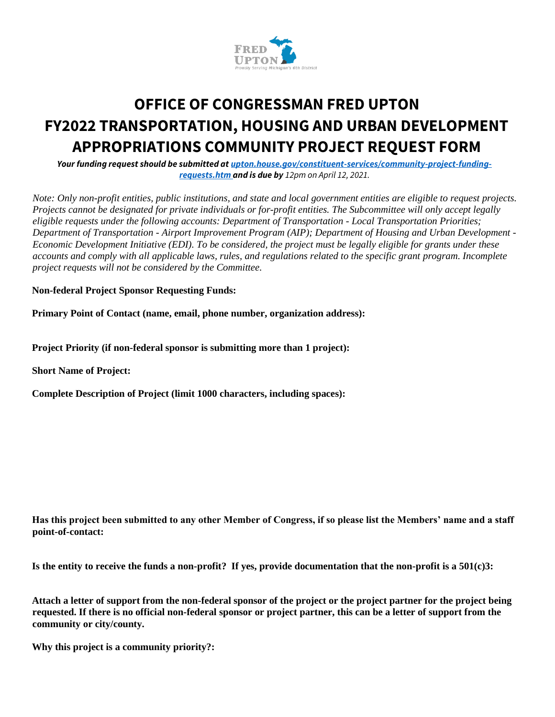

## **OFFICE OF CONGRESSMAN FRED UPTON FY2022 TRANSPORTATION, HOUSING AND URBAN DEVELOPMENT APPROPRIATIONS COMMUNITY PROJECT REQUEST FORM**

*Your funding request should be submitted at upton.house.gov/constituent-services/community-project-fundingrequests.htm and is due by 12pm on April 12, 2021.*

*Note: Only non-profit entities, public institutions, and state and local government entities are eligible to request projects. Projects cannot be designated for private individuals or for-profit entities. The Subcommittee will only accept legally eligible requests under the following accounts: Department of Transportation - Local Transportation Priorities; Department of Transportation - Airport Improvement Program (AIP); Department of Housing and Urban Development - Economic Development Initiative (EDI). To be considered, the project must be legally eligible for grants under these accounts and comply with all applicable laws, rules, and regulations related to the specific grant program. Incomplete project requests will not be considered by the Committee.* 

**Non-federal Project Sponsor Requesting Funds:** 

**Primary Point of Contact (name, email, phone number, organization address):** 

**Project Priority (if non-federal sponsor is submitting more than 1 project):** 

**Short Name of Project:** 

**Complete Description of Project (limit 1000 characters, including spaces):** 

**Has this project been submitted to any other Member of Congress, if so please list the Members' name and a staff point-of-contact:** 

**Is the entity to receive the funds a non-profit? If yes, provide documentation that the non-profit is a 501(c)3:** 

**Attach a letter of support from the non-federal sponsor of the project or the project partner for the project being requested. If there is no official non-federal sponsor or project partner, this can be a letter of support from the community or city/county.** 

**Why this project is a community priority?:**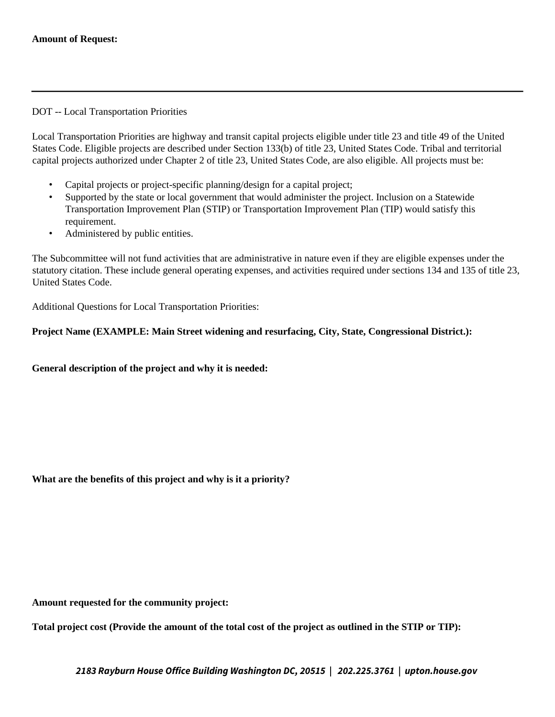## DOT -- Local Transportation Priorities

Local Transportation Priorities are highway and transit capital projects eligible under title 23 and title 49 of the United States Code. Eligible projects are described under Section 133(b) of title 23, United States Code. Tribal and territorial capital projects authorized under Chapter 2 of title 23, United States Code, are also eligible. All projects must be:

- Capital projects or project-specific planning/design for a capital project;
- Supported by the state or local government that would administer the project. Inclusion on a Statewide Transportation Improvement Plan (STIP) or Transportation Improvement Plan (TIP) would satisfy this requirement.
- Administered by public entities.

The Subcommittee will not fund activities that are administrative in nature even if they are eligible expenses under the statutory citation. These include general operating expenses, and activities required under sections 134 and 135 of title 23, United States Code.

Additional Questions for Local Transportation Priorities:

## **Project Name (EXAMPLE: Main Street widening and resurfacing, City, State, Congressional District.):**

## **General description of the project and why it is needed:**

**What are the benefits of this project and why is it a priority?** 

**Amount requested for the community project:** 

**Total project cost (Provide the amount of the total cost of the project as outlined in the STIP or TIP):**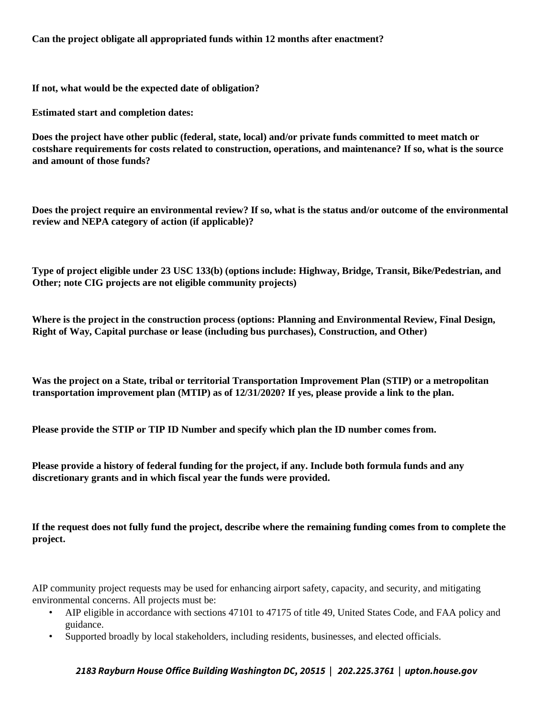**Can the project obligate all appropriated funds within 12 months after enactment?** 

**If not, what would be the expected date of obligation?** 

**Estimated start and completion dates:** 

**Does the project have other public (federal, state, local) and/or private funds committed to meet match or costshare requirements for costs related to construction, operations, and maintenance? If so, what is the source and amount of those funds?** 

**Does the project require an environmental review? If so, what is the status and/or outcome of the environmental review and NEPA category of action (if applicable)?** 

**Type of project eligible under 23 USC 133(b) (options include: Highway, Bridge, Transit, Bike/Pedestrian, and Other; note CIG projects are not eligible community projects)** 

**Where is the project in the construction process (options: Planning and Environmental Review, Final Design, Right of Way, Capital purchase or lease (including bus purchases), Construction, and Other)** 

**Was the project on a State, tribal or territorial Transportation Improvement Plan (STIP) or a metropolitan transportation improvement plan (MTIP) as of 12/31/2020? If yes, please provide a link to the plan.** 

**Please provide the STIP or TIP ID Number and specify which plan the ID number comes from.** 

**Please provide a history of federal funding for the project, if any. Include both formula funds and any discretionary grants and in which fiscal year the funds were provided.** 

**If the request does not fully fund the project, describe where the remaining funding comes from to complete the project.** 

AIP community project requests may be used for enhancing airport safety, capacity, and security, and mitigating environmental concerns. All projects must be:

- AIP eligible in accordance with sections 47101 to 47175 of title 49, United States Code, and FAA policy and guidance.
- Supported broadly by local stakeholders, including residents, businesses, and elected officials.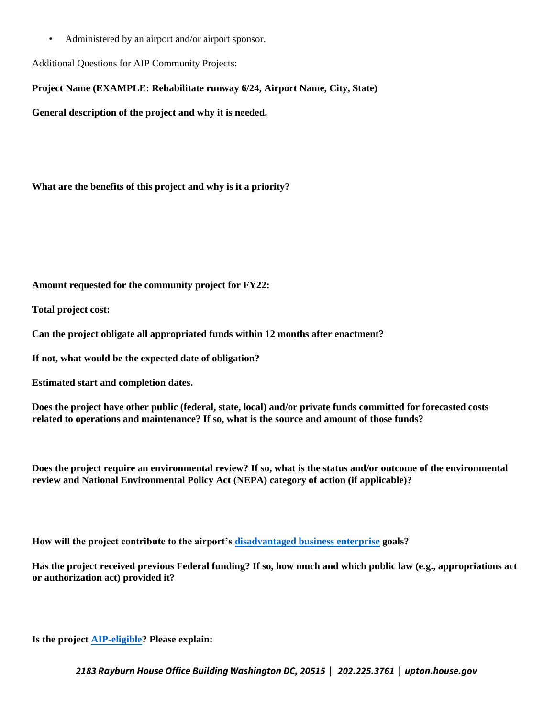• Administered by an airport and/or airport sponsor.

Additional Questions for AIP Community Projects:

**Project Name (EXAMPLE: Rehabilitate runway 6/24, Airport Name, City, State)** 

**General description of the project and why it is needed.** 

**What are the benefits of this project and why is it a priority?** 

**Amount requested for the community project for FY22:** 

**Total project cost:** 

**Can the project obligate all appropriated funds within 12 months after enactment?** 

**If not, what would be the expected date of obligation?** 

**Estimated start and completion dates.** 

**Does the project have other public (federal, state, local) and/or private funds committed for forecasted costs related to operations and maintenance? If so, what is the source and amount of those funds?** 

**Does the project require an environmental review? If so, what is the status and/or outcome of the environmental review and National Environmental Policy Act (NEPA) category of action (if applicable)?** 

**How will the project contribute to the airport's disadvantaged business enterprise goals?** 

**Has the project received previous Federal funding? If so, how much and which public law (e.g., appropriations act or authorization act) provided it?** 

**Is the project AIP-eligible? Please explain:**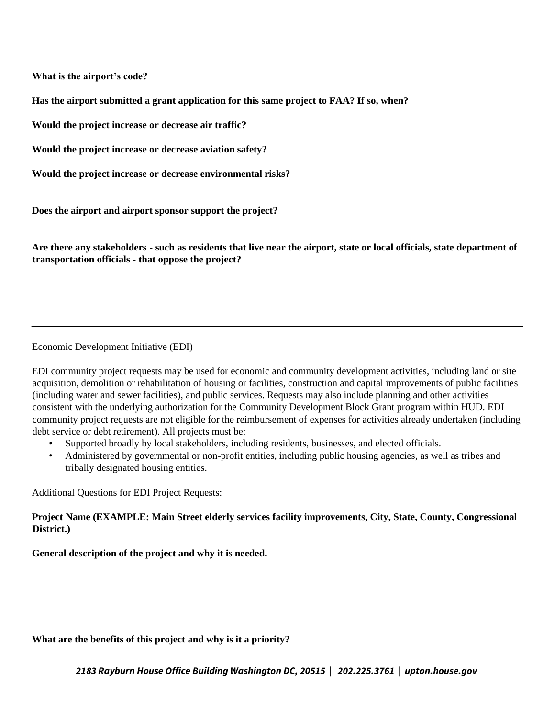**What is the airport's code?** 

**Has the airport submitted a grant application for this same project to FAA? If so, when?** 

**Would the project increase or decrease air traffic?** 

**Would the project increase or decrease aviation safety?** 

**Would the project increase or decrease environmental risks?** 

**Does the airport and airport sponsor support the project?** 

**Are there any stakeholders - such as residents that live near the airport, state or local officials, state department of transportation officials - that oppose the project?** 

Economic Development Initiative (EDI)

EDI community project requests may be used for economic and community development activities, including land or site acquisition, demolition or rehabilitation of housing or facilities, construction and capital improvements of public facilities (including water and sewer facilities), and public services. Requests may also include planning and other activities consistent with the underlying authorization for the Community Development Block Grant program within HUD. EDI community project requests are not eligible for the reimbursement of expenses for activities already undertaken (including debt service or debt retirement). All projects must be:

- Supported broadly by local stakeholders, including residents, businesses, and elected officials.
- Administered by governmental or non-profit entities, including public housing agencies, as well as tribes and tribally designated housing entities.

Additional Questions for EDI Project Requests:

**Project Name (EXAMPLE: Main Street elderly services facility improvements, City, State, County, Congressional District.)** 

**General description of the project and why it is needed.** 

**What are the benefits of this project and why is it a priority?**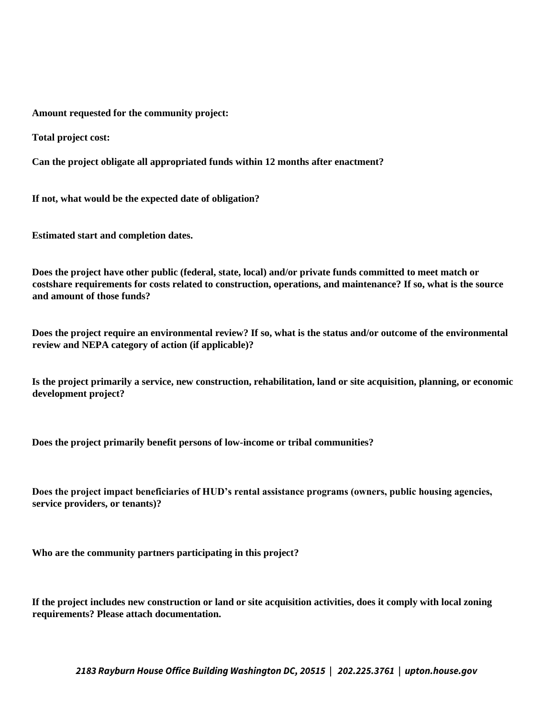**Amount requested for the community project:** 

**Total project cost:** 

**Can the project obligate all appropriated funds within 12 months after enactment?** 

**If not, what would be the expected date of obligation?** 

**Estimated start and completion dates.** 

**Does the project have other public (federal, state, local) and/or private funds committed to meet match or costshare requirements for costs related to construction, operations, and maintenance? If so, what is the source and amount of those funds?** 

**Does the project require an environmental review? If so, what is the status and/or outcome of the environmental review and NEPA category of action (if applicable)?** 

**Is the project primarily a service, new construction, rehabilitation, land or site acquisition, planning, or economic development project?** 

**Does the project primarily benefit persons of low-income or tribal communities?** 

**Does the project impact beneficiaries of HUD's rental assistance programs (owners, public housing agencies, service providers, or tenants)?** 

**Who are the community partners participating in this project?** 

**If the project includes new construction or land or site acquisition activities, does it comply with local zoning requirements? Please attach documentation.**